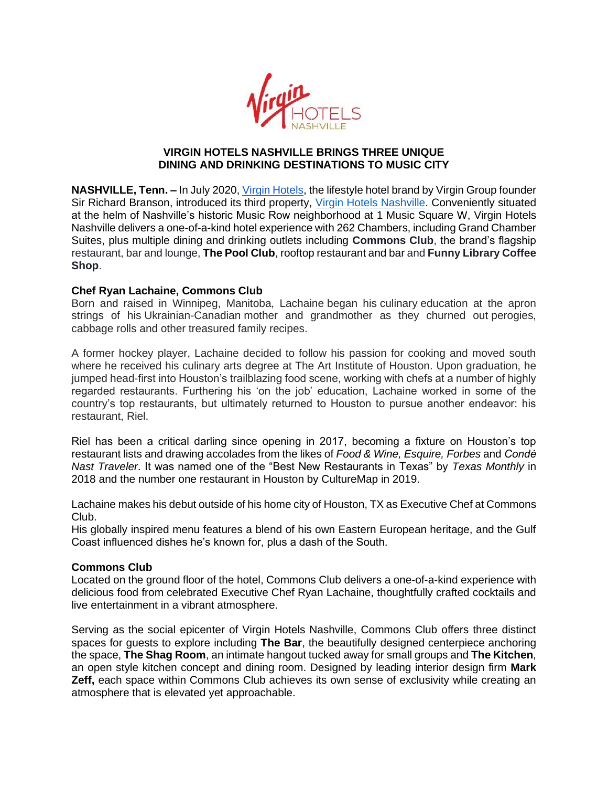

## **VIRGIN HOTELS NASHVILLE BRINGS THREE UNIQUE DINING AND DRINKING DESTINATIONS TO MUSIC CITY**

**NASHVILLE, Tenn. –** In July 2020, [Virgin Hotels,](https://virginhotels.com/) the lifestyle hotel brand by Virgin Group founder Sir Richard Branson, introduced its third property, [Virgin Hotels Nashville.](https://virginhotels.com/nashville/) Conveniently situated at the helm of Nashville's historic Music Row neighborhood at 1 Music Square W, Virgin Hotels Nashville delivers a one-of-a-kind hotel experience with 262 Chambers, including Grand Chamber Suites, plus multiple dining and drinking outlets including **Commons Club**, the brand's flagship restaurant, bar and lounge, **The Pool Club**, rooftop restaurant and bar and **Funny Library Coffee Shop**.

# **Chef Ryan Lachaine, Commons Club**

Born and raised in Winnipeg, Manitoba, Lachaine began his culinary education at the apron strings of his Ukrainian-Canadian mother and grandmother as they churned out perogies, cabbage rolls and other treasured family recipes.

A former hockey player, Lachaine decided to follow his passion for cooking and moved south where he received his culinary arts degree at The Art Institute of Houston. Upon graduation, he jumped head-first into Houston's trailblazing food scene, working with chefs at a number of highly regarded restaurants. Furthering his 'on the job' education, Lachaine worked in some of the country's top restaurants, but ultimately returned to Houston to pursue another endeavor: his restaurant, Riel.

Riel has been a critical darling since opening in 2017, becoming a fixture on Houston's top restaurant lists and drawing accolades from the likes of *Food & Wine, Esquire, Forbes* and *Condė Nast Traveler*. It was named one of the "Best New Restaurants in Texas" by *Texas Monthly* in 2018 and the number one restaurant in Houston by CultureMap in 2019.

Lachaine makes his debut outside of his home city of Houston, TX as Executive Chef at Commons Club.

His globally inspired menu features a blend of his own Eastern European heritage, and the Gulf Coast influenced dishes he's known for, plus a dash of the South.

# **Commons Club**

Located on the ground floor of the hotel, Commons Club delivers a one-of-a-kind experience with delicious food from celebrated Executive Chef Ryan Lachaine, thoughtfully crafted cocktails and live entertainment in a vibrant atmosphere.

Serving as the social epicenter of Virgin Hotels Nashville, Commons Club offers three distinct spaces for guests to explore including **The Bar**, the beautifully designed centerpiece anchoring the space, **The Shag Room**, an intimate hangout tucked away for small groups and **The Kitchen**, an open style kitchen concept and dining room. Designed by leading interior design firm **Mark Zeff,** each space within Commons Club achieves its own sense of exclusivity while creating an atmosphere that is elevated yet approachable.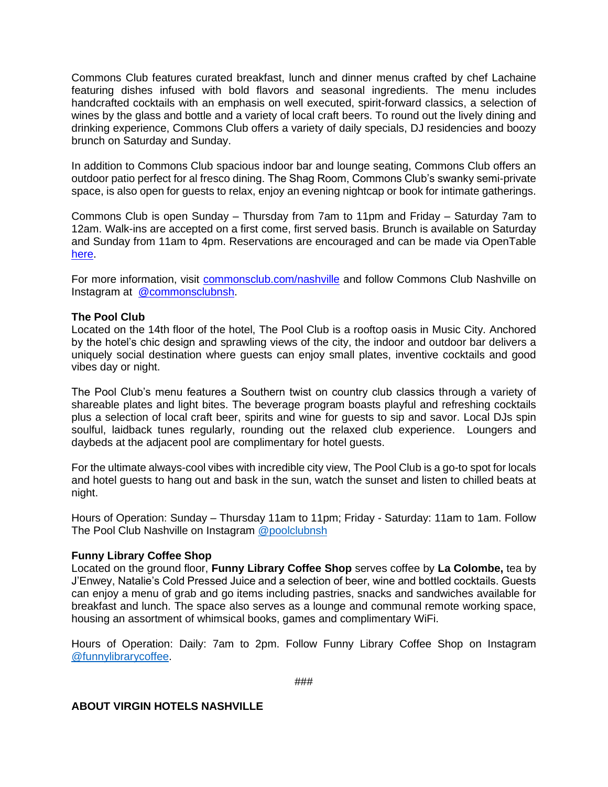Commons Club features curated breakfast, lunch and dinner menus crafted by chef Lachaine featuring dishes infused with bold flavors and seasonal ingredients. The menu includes handcrafted cocktails with an emphasis on well executed, spirit-forward classics, a selection of wines by the glass and bottle and a variety of local craft beers. To round out the lively dining and drinking experience, Commons Club offers a variety of daily specials, DJ residencies and boozy brunch on Saturday and Sunday.

In addition to Commons Club spacious indoor bar and lounge seating, Commons Club offers an outdoor patio perfect for al fresco dining. The Shag Room, Commons Club's swanky semi-private space, is also open for guests to relax, enjoy an evening nightcap or book for intimate gatherings.

Commons Club is open Sunday – Thursday from 7am to 11pm and Friday – Saturday 7am to 12am. Walk-ins are accepted on a first come, first served basis. Brunch is available on Saturday and Sunday from 11am to 4pm. Reservations are encouraged and can be made via OpenTabl[e](https://www.opentable.com/r/commons-club-virgin-hotels-nashville) [here.](https://www.opentable.com/r/commons-club-virgin-hotels-nashville)

For more information, visit [commonsclub.com/nashville](https://virginhotels.com/nashville/dine-and-drink/the-commons-club/) and follow Commons Club Nashville on Instagram at [@commonsclubnsh.](https://www.instagram.com/commonsclubnsh/)

## **The Pool Club**

Located on the 14th floor of the hotel, The Pool Club is a rooftop oasis in Music City. Anchored by the hotel's chic design and sprawling views of the city, the indoor and outdoor bar delivers a uniquely social destination where guests can enjoy small plates, inventive cocktails and good vibes day or night.

The Pool Club's menu features a Southern twist on country club classics through a variety of shareable plates and light bites. The beverage program boasts playful and refreshing cocktails plus a selection of local craft beer, spirits and wine for guests to sip and savor. Local DJs spin soulful, laidback tunes regularly, rounding out the relaxed club experience. Loungers and daybeds at the adjacent pool are complimentary for hotel guests.

For the ultimate always-cool vibes with incredible city view, The Pool Club is a go-to spot for locals and hotel guests to hang out and bask in the sun, watch the sunset and listen to chilled beats at night.

Hours of Operation: Sunday – Thursday 11am to 11pm; Friday - Saturday: 11am to 1am. Follow The Pool Club Nashville on Instagram [@poolclubnsh](https://www.instagram.com/poolclubnsh/)

#### **Funny Library Coffee Shop**

Located on the ground floor, **Funny Library Coffee Shop** serves coffee by **La Colombe,** tea by J'Enwey, Natalie's Cold Pressed Juice and a selection of beer, wine and bottled cocktails. Guests can enjoy a menu of grab and go items including pastries, snacks and sandwiches available for breakfast and lunch. The space also serves as a lounge and communal remote working space, housing an assortment of whimsical books, games and complimentary WiFi.

Hours of Operation: Daily: 7am to 2pm. Follow Funny Library Coffee Shop on Instagram [@funnylibrarycoffee.](https://www.instagram.com/funnylibrarycoffee/)

#### **ABOUT VIRGIN HOTELS NASHVILLE**